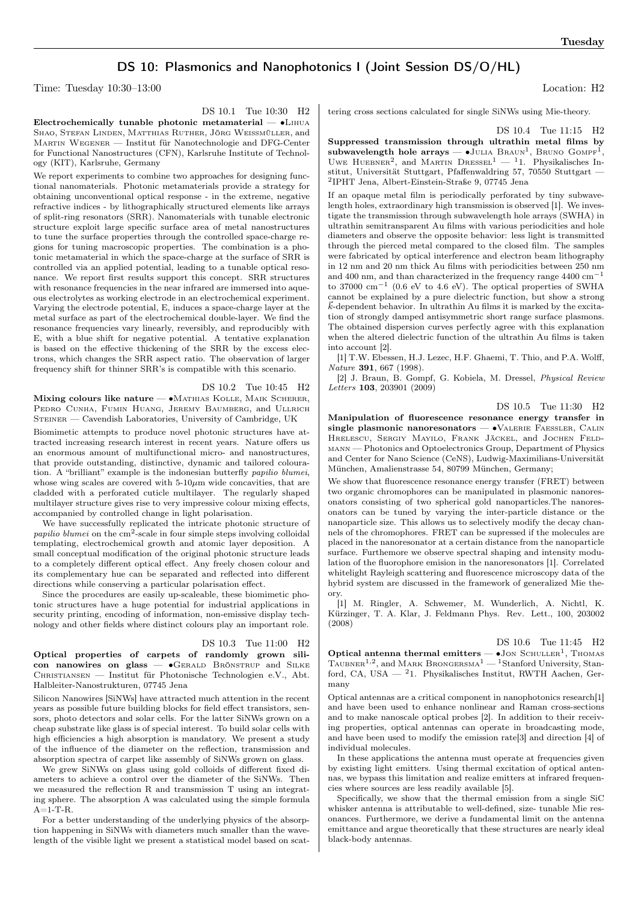## DS 10: Plasmonics and Nanophotonics I (Joint Session DS/O/HL)

Time: Tuesday 10:30–13:00 Location: H2

Electrochemically tunable photonic metamaterial — ∙Lihua SHAO, STEFAN LINDEN, MATTHIAS RUTHER, JÖRG WEISSMÜLLER, and Martin Wegener — Institut für Nanotechnologie and DFG-Center for Functional Nanostructures (CFN), Karlsruhe Institute of Technology (KIT), Karlsruhe, Germany

We report experiments to combine two approaches for designing functional nanomaterials. Photonic metamaterials provide a strategy for obtaining unconventional optical response - in the extreme, negative refractive indices - by lithographically structured elements like arrays of split-ring resonators (SRR). Nanomaterials with tunable electronic structure exploit large specific surface area of metal nanostructures to tune the surface properties through the controlled space-charge regions for tuning macroscopic properties. The combination is a photonic metamaterial in which the space-charge at the surface of SRR is controlled via an applied potential, leading to a tunable optical resonance. We report first results support this concept. SRR structures with resonance frequencies in the near infrared are immersed into aqueous electrolytes as working electrode in an electrochemical experiment. Varying the electrode potential, E, induces a space-charge layer at the metal surface as part of the electrochemical double-layer. We find the resonance frequencies vary linearly, reversibly, and reproducibly with E, with a blue shift for negative potential. A tentative explanation is based on the effective thickening of the SRR by the excess electrons, which changes the SRR aspect ratio. The observation of larger frequency shift for thinner SRR's is compatible with this scenario.

#### DS 10.2 Tue 10:45 H2

Mixing colours like nature  $\bullet$ Mathias Kolle, Maik Scherer, PEDRO CUNHA, FUMIN HUANG, JEREMY BAUMBERG, and ULLRICH STEINER — Cavendish Laboratories, University of Cambridge, UK

Biomimetic attempts to produce novel photonic structures have attracted increasing research interest in recent years. Nature offers us an enormous amount of multifunctional micro- and nanostructures, that provide outstanding, distinctive, dynamic and tailored colouration. A "brilliant" example is the indonesian butterfly papilio blumei, whose wing scales are covered with  $5-10\mu m$  wide concavities, that are cladded with a perforated cuticle multilayer. The regularly shaped multilayer structure gives rise to very impressive colour mixing effects, accompanied by controlled change in light polarisation.

We have successfully replicated the intricate photonic structure of papilio blumei on the  $\text{cm}^2$ -scale in four simple steps involving colloidal templating, electrochemical growth and atomic layer deposition. A small conceptual modification of the original photonic structure leads to a completely different optical effect. Any freely chosen colour and its complementary hue can be separated and reflected into different directions while conserving a particular polarisation effect.

Since the procedures are easily up-scaleable, these biomimetic photonic structures have a huge potential for industrial applications in security printing, encoding of information, non-emissive display technology and other fields where distinct colours play an important role.

#### DS 10.3 Tue 11:00 H2

Optical properties of carpets of randomly grown silicon nanowires on glass — ∙Gerald Brönstrup and Silke Christiansen — Institut für Photonische Technologien e.V., Abt. Halbleiter-Nanostrukturen, 07745 Jena

Silicon Nanowires [SiNWs] have attracted much attention in the recent years as possible future building blocks for field effect transistors, sensors, photo detectors and solar cells. For the latter SiNWs grown on a cheap substrate like glass is of special interest. To build solar cells with high efficiencies a high absorption is mandatory. We present a study of the influence of the diameter on the reflection, transmission and absorption spectra of carpet like assembly of SiNWs grown on glass.

We grew SiNWs on glass using gold colloids of different fixed diameters to achieve a control over the diameter of the SiNWs. Then we measured the reflection R and transmission T using an integrating sphere. The absorption A was calculated using the simple formula  $A=1-T-R$ .

For a better understanding of the underlying physics of the absorption happening in SiNWs with diameters much smaller than the wavelength of the visible light we present a statistical model based on scat-

tering cross sections calculated for single SiNWs using Mie-theory.

DS 10.4 Tue 11:15 H2

Suppressed transmission through ultrathin metal films by subwavelength hole arrays — •JULIA BRAUN<sup>1</sup>, BRUNO GOMPF<sup>1</sup>, UWE HUEBNER<sup>2</sup>, and MARTIN DRESSEL<sup>1</sup> — <sup>1</sup>1. Physikalisches Institut, Universität Stuttgart, Pfaffenwaldring 57, 70550 Stuttgart — 2 IPHT Jena, Albert-Einstein-Straße 9, 07745 Jena

If an opaque metal film is periodically perforated by tiny subwavelength holes, extraordinary high transmission is observed [1]. We investigate the transmission through subwavelength hole arrays (SWHA) in ultrathin semitransparent Au films with various periodicities and hole diameters and observe the opposite behavior: less light is transmitted through the pierced metal compared to the closed film. The samples were fabricated by optical interference and electron beam lithography in 12 nm and 20 nm thick Au films with periodicities between 250 nm and 400 nm, and than characterized in the frequency range 4400 cm−<sup>1</sup> to 37000  $\text{cm}^{-1}$  (0.6 eV to 4.6 eV). The optical properties of SWHA cannot be explained by a pure dielectric function, but show a strong  $\vec{k}$ -dependent behavior. In ultrathin Au films it is marked by the excitation of strongly damped antisymmetric short range surface plasmons. The obtained dispersion curves perfectly agree with this explanation when the altered dielectric function of the ultrathin Au films is taken into account [2].

[1] T.W. Ebessen, H.J. Lezec, H.F. Ghaemi, T. Thio, and P.A. Wolff, Nature 391, 667 (1998).

[2] J. Braun, B. Gompf, G. Kobiela, M. Dressel, Physical Review Letters 103, 203901 (2009)

### DS 10.5 Tue 11:30 H2

Manipulation of fluorescence resonance energy transfer in single plasmonic nanoresonators — •VALERIE FAESSLER, CALIN Hrelescu, Sergiy Mayilo, Frank Jäckel, and Jochen Feldmann — Photonics and Optoelectronics Group, Department of Physics and Center for Nano Science (CeNS), Ludwig-Maximilians-Universität München, Amalienstrasse 54, 80799 München, Germany;

We show that fluorescence resonance energy transfer (FRET) between two organic chromophores can be manipulated in plasmonic nanoresonators consisting of two spherical gold nanoparticles.The nanoresonators can be tuned by varying the inter-particle distance or the nanoparticle size. This allows us to selectively modify the decay channels of the chromophores. FRET can be supressed if the molecules are placed in the nanoresonator at a certain distance from the nanoparticle surface. Furthemore we observe spectral shaping and intensity modulation of the fluorophore emision in the nanoresonators [1]. Correlated whitelight Rayleigh scattering and fluorescence microscopy data of the hybrid system are discussed in the framework of generalized Mie theory.

[1] M. Ringler, A. Schwemer, M. Wunderlich, A. Nichtl, K. Kürzinger, T. A. Klar, J. Feldmann Phys. Rev. Lett., 100, 203002 (2008)

DS 10.6 Tue 11:45 H2

Optical antenna thermal emitters  $- \bullet$  Jon SCHULLER<sup>1</sup>, THOMAS TAUBNER<sup>1,2</sup>, and MARK BRONGERSMA<sup>1</sup> — <sup>1</sup>Stanford University, Stanford, CA, USA — <sup>2</sup>1. Physikalisches Institut, RWTH Aachen, Germany

Optical antennas are a critical component in nanophotonics research[1] and have been used to enhance nonlinear and Raman cross-sections and to make nanoscale optical probes [2]. In addition to their receiving properties, optical antennas can operate in broadcasting mode, and have been used to modify the emission rate[3] and direction [4] of individual molecules.

In these applications the antenna must operate at frequencies given by existing light emitters. Using thermal excitation of optical antennas, we bypass this limitation and realize emitters at infrared frequencies where sources are less readily available [5].

Specifically, we show that the thermal emission from a single SiC whisker antenna is attributable to well-defined, size- tunable Mie resonances. Furthermore, we derive a fundamental limit on the antenna emittance and argue theoretically that these structures are nearly ideal black-body antennas.